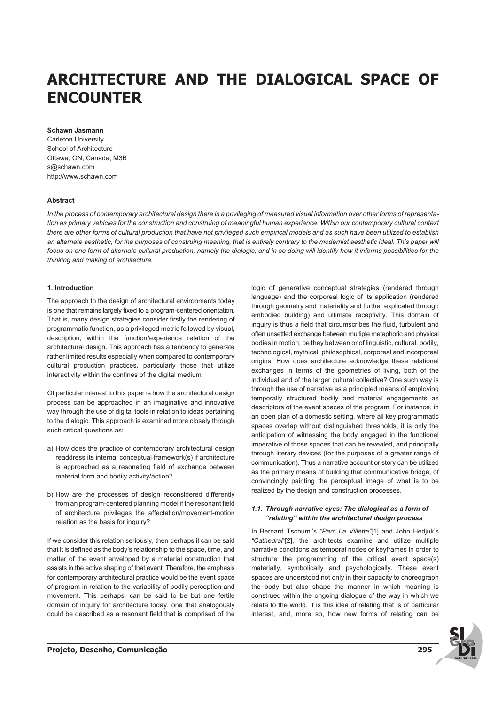# **ARCHITECTURE AND THE DIALOGICAL SPACE OF ENCOUNTER**

#### **Schawn Jasmann**

Carleton University School of Architecture Ottawa, ON, Canada, M3B s@schawn.com http://www.schawn.com

## **Abstract**

*In the process of contemporary architectural design there is a privileging of measured visual information over other forms of representation as primary vehicles for the construction and construing of meaningful human experience. Within our contemporary cultural context there are other forms of cultural production that have not privileged such empirical models and as such have been utilized to establish* an alternate aesthetic, for the purposes of construing meaning, that is entirely contrary to the modernist aesthetic ideal. This paper will *focus on one form of alternate cultural production, namely the dialogic, and in so doing will identify how it informs possibilities for the thinking and making of architecture.*

## **1. Introduction**

The approach to the design of architectural environments today is one that remains largely fixed to a program-centered orientation. That is, many design strategies consider firstly the rendering of programmatic function, as a privileged metric followed by visual, description, within the function/experience relation of the architectural design. This approach has a tendency to generate rather limited results especially when compared to contemporary cultural production practices, particularly those that utilize interactivity within the confines of the digital medium.

Of particular interest to this paper is how the architectural design process can be approached in an imaginative and innovative way through the use of digital tools in relation to ideas pertaining to the dialogic. This approach is examined more closely through such critical questions as:

- a) How does the practice of contemporary architectural design readdress its internal conceptual framework(s) if architecture is approached as a resonating field of exchange between material form and bodily activity/action?
- b) How are the processes of design reconsidered differently from an program-centered planning model if the resonant field of architecture privileges the affectation/movement-motion relation as the basis for inquiry?

If we consider this relation seriously, then perhaps it can be said that it is defined as the body's relationship to the space, time, and matter of the event enveloped by a material construction that assists in the active shaping of that event. Therefore, the emphasis for contemporary architectural practice would be the event space of program in relation to the variability of bodily perception and movement. This perhaps, can be said to be but one fertile domain of inquiry for architecture today, one that analogously could be described as a resonant field that is comprised of the logic of generative conceptual strategies (rendered through language) and the corporeal logic of its application (rendered through geometry and materiality and further explicated through embodied building) and ultimate receptivity. This domain of inquiry is thus a field that circumscribes the fluid, turbulent and often unsettled exchange between multiple metaphoric and physical bodies in motion, be they between or of linguistic, cultural, bodily, technological, mythical, philosophical, corporeal and incorporeal origins. How does architecture acknowledge these relational exchanges in terms of the geometries of living, both of the individual and of the larger cultural collective? One such way is through the use of narrative as a principled means of employing temporally structured bodily and material engagements as descriptors of the event spaces of the program. For instance, in an open plan of a domestic setting, where all key programmatic spaces overlap without distinguished thresholds, it is only the anticipation of witnessing the body engaged in the functional imperative of those spaces that can be revealed, and principally through literary devices (for the purposes of a greater range of communication). Thus a narrative account or story can be utilized as the primary means of building that communicative bridge, of convincingly painting the perceptual image of what is to be realized by the design and construction processes.

## **1.1. Through narrative eyes: The dialogical as a form of "relating" within the architectural design process**

In Bernard Tschumi's *"Parc La Villette"*[1] and John Hedjuk's *"Cathedral"*[2], the architects examine and utilize multiple narrative conditions as temporal nodes or keyframes in order to structure the programming of the critical event space(s) materially, symbolically and psychologically. These event spaces are understood not only in their capacity to choreograph the body but also shape the manner in which meaning is construed within the ongoing dialogue of the way in which we relate to the world. It is this idea of relating that is of particular interest, and, more so, how new forms of relating can be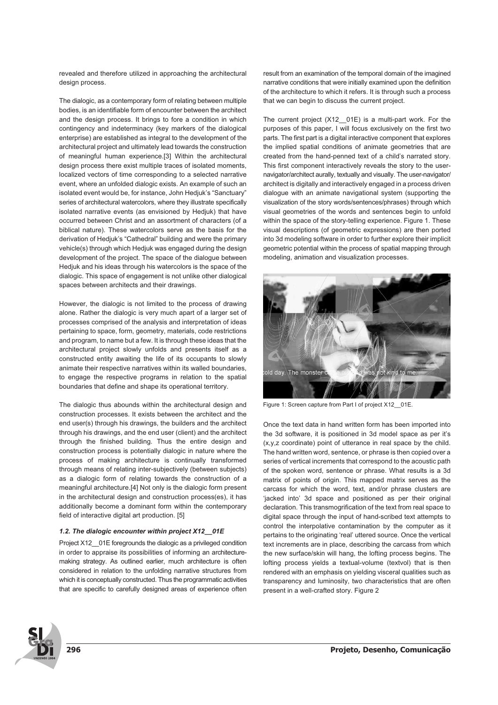revealed and therefore utilized in approaching the architectural design process.

The dialogic, as a contemporary form of relating between multiple bodies, is an identifiable form of encounter between the architect and the design process. It brings to fore a condition in which contingency and indeterminacy (key markers of the dialogical enterprise) are established as integral to the development of the architectural project and ultimately lead towards the construction of meaningful human experience.[3] Within the architectural design process there exist multiple traces of isolated moments. localized vectors of time corresponding to a selected narrative event, where an unfolded dialogic exists. An example of such an isolated event would be, for instance, John Hedjuk's "Sanctuary" series of architectural watercolors, where they illustrate specifically isolated narrative events (as envisioned by Hedjuk) that have occurred between Christ and an assortment of characters (of a biblical nature). These watercolors serve as the basis for the derivation of Hedjuk's "Cathedral" building and were the primary vehicle(s) through which Hedjuk was engaged during the design development of the project. The space of the dialogue between Hedjuk and his ideas through his watercolors is the space of the dialogic. This space of engagement is not unlike other dialogical spaces between architects and their drawings.

However, the dialogic is not limited to the process of drawing alone. Rather the dialogic is very much apart of a larger set of processes comprised of the analysis and interpretation of ideas pertaining to space, form, geometry, materials, code restrictions and program, to name but a few. It is through these ideas that the architectural project slowly unfolds and presents itself as a constructed entity awaiting the life of its occupants to slowly animate their respective narratives within its walled boundaries, to engage the respective programs in relation to the spatial boundaries that define and shape its operational territory.

The dialogic thus abounds within the architectural design and construction processes. It exists between the architect and the end user(s) through his drawings, the builders and the architect through his drawings, and the end user (client) and the architect through the finished building. Thus the entire design and construction process is potentially dialogic in nature where the process of making architecture is continually transformed through means of relating inter-subjectively (between subjects) as a dialogic form of relating towards the construction of a meaningful architecture.[4] Not only is the dialogic form present in the architectural design and construction process(es), it has additionally become a dominant form within the contemporary field of interactive digital art production. [5]

## **1.2. The dialogic encounter within project X12\_\_01E**

Project X12 01E foregrounds the dialogic as a privileged condition in order to appraise its possibilities of informing an architecturemaking strategy. As outlined earlier, much architecture is often considered in relation to the unfolding narrative structures from which it is conceptually constructed. Thus the programmatic activities that are specific to carefully designed areas of experience often

result from an examination of the temporal domain of the imagined narrative conditions that were initially examined upon the definition of the architecture to which it refers. It is through such a process that we can begin to discuss the current project.

The current project (X12 01E) is a multi-part work. For the purposes of this paper, I will focus exclusively on the first two parts. The first part is a digital interactive component that explores the implied spatial conditions of animate geometries that are created from the hand-penned text of a child's narrated story. This first component interactively reveals the story to the usernavigator/architect aurally, textually and visually. The user-navigator/ architect is digitally and interactively engaged in a process driven dialogue with an animate navigational system (supporting the visualization of the story words/sentences/phrases) through which visual geometries of the words and sentences begin to unfold within the space of the story-telling experience. Figure 1. These visual descriptions (of geometric expressions) are then ported into 3d modeling software in order to further explore their implicit geometric potential within the process of spatial mapping through modeling, animation and visualization processes.



Figure 1: Screen capture from Part I of project X12 01E.

Once the text data in hand written form has been imported into the 3d software, it is positioned in 3d model space as per it's (x,y,z coordinate) point of utterance in real space by the child. The hand written word, sentence, or phrase is then copied over a series of vertical increments that correspond to the acoustic path of the spoken word, sentence or phrase. What results is a 3d matrix of points of origin. This mapped matrix serves as the carcass for which the word, text, and/or phrase clusters are 'jacked into' 3d space and positioned as per their original declaration. This transmogrification of the text from real space to digital space through the input of hand-scribed text attempts to control the interpolative contamination by the computer as it pertains to the originating 'real' uttered source. Once the vertical text increments are in place, describing the carcass from which the new surface/skin will hang, the lofting process begins. The lofting process yields a textual-volume (textvol) that is then rendered with an emphasis on yielding visceral qualities such as transparency and luminosity, two characteristics that are often present in a well-crafted story. Figure 2